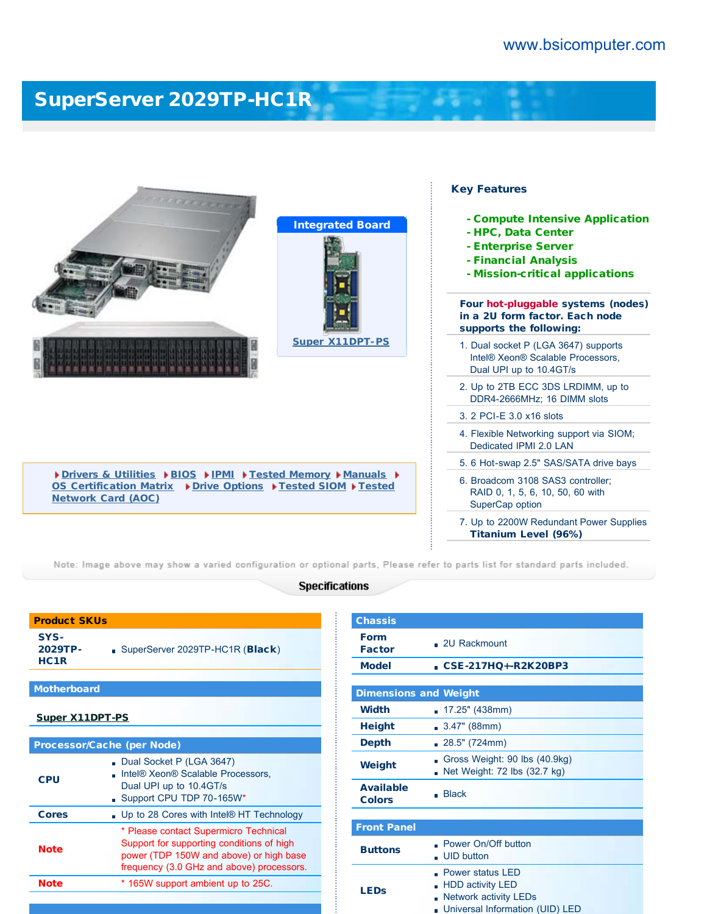# [SuperServer 2029TP-HC1R](http://www.bsicomputer.com/products/2029tp-hc1r-16960)





[Drivers & Utilities](javascript:document.driversForm.submit();) D[BIOS](javascript:document.biosForm.submit();) D[IPMI](javascript:document.ipmiForm.submit();) DEsted Memory D[Manuals](javascript:document.manualForm.submit();) D [OS Certification Matrix](http://www.supermicro.com/support/resources/OS/OS_Certification_Intel.cfm?MProduct_Name=SYS%2D2029TP%2DHC1R) ▶ [Drive Options](javascript:document.HDDForm.submit();) ▶ [Tested SIOM](http://www.supermicro.com/support/resources/AOC/AOC_Compatibility_SIOM.cfm) ▶ [Tested](http://www.supermicro.com/support/resources/AOC/Standard_AOC_Compatibility.cfm?show=SELECT&type=Twin) [Network Card \(AOC\)](http://www.supermicro.com/support/resources/AOC/Standard_AOC_Compatibility.cfm?show=SELECT&type=Twin)

### Key Features

- Compute Intensive Application
- HPC, Data Center
- Enterprise Server
- Financial Analysis
- Mission-critical applications

Four hot-pluggable systems (nodes) in a 2U form factor. Each node supports the following:

- 1. Dual socket P (LGA 3647) supports Intel® Xeon® Scalable Processors, Dual UPI up to 10.4GT/s
- 2. Up to 2TB ECC 3DS LRDIMM, up to DDR4-2666MHz; 16 DIMM slots
- 3. 2 PCI-E 3.0 x16 slots
- 4. Flexible Networking support via SIOM; Dedicated IPMI 2.0 LAN
- 5. 6 Hot-swap 2.5" SAS/SATA drive bays
- 6. Broadcom 3108 SAS3 controller; RAID 0, 1, 5, 6, 10, 50, 60 with SuperCap option
- 7. Up to 2200W Redundant Power Supplies Titanium Level (96%)

Note: Image above may show a varied configuration or optional parts, Please refer to parts list for standard parts included.

### **Specifications**

| <b>Product SKUs</b>                 |                                 |  |  |
|-------------------------------------|---------------------------------|--|--|
| SYS-<br>2029TP-<br>HC <sub>1R</sub> | SuperServer 2029TP-HC1R (Black) |  |  |
|                                     |                                 |  |  |
| <b>Motherboard</b>                  |                                 |  |  |
| <b>Super X11DPT-PS</b>              |                                 |  |  |
|                                     |                                 |  |  |
| <b>Processor/Cache (per Node)</b>   |                                 |  |  |
|                                     |                                 |  |  |

| Processor/Cache (per Node) |                                                                                                                                                                            |  |  |
|----------------------------|----------------------------------------------------------------------------------------------------------------------------------------------------------------------------|--|--|
| <b>CPU</b>                 | Dual Socket P (LGA 3647)<br>Intel <sup>®</sup> Xeon <sup>®</sup> Scalable Processors.<br>Dual UPI up to 10.4GT/s<br>Support CPU TDP 70-165W*                               |  |  |
| <b>Cores</b>               | . Up to 28 Cores with Intel® HT Technology                                                                                                                                 |  |  |
| <b>Note</b>                | * Please contact Supermicro Technical<br>Support for supporting conditions of high<br>power (TDP 150W and above) or high base<br>frequency (3.0 GHz and above) processors. |  |  |
| <b>Note</b>                | * 165W support ambient up to 25C.                                                                                                                                          |  |  |
|                            |                                                                                                                                                                            |  |  |

| <b>Chassis</b>                    |                                                                                                                     |  |  |
|-----------------------------------|---------------------------------------------------------------------------------------------------------------------|--|--|
| <b>Form</b><br><b>Factor</b>      | $.2U$ Rackmount                                                                                                     |  |  |
| <b>Model</b>                      | CSE-217HO+-R2K20BP3                                                                                                 |  |  |
|                                   |                                                                                                                     |  |  |
| <b>Dimensions and Weight</b>      |                                                                                                                     |  |  |
| <b>Width</b>                      | . 17.25" (438mm)                                                                                                    |  |  |
| <b>Height</b>                     | 3.47" (88mm)<br>m.                                                                                                  |  |  |
| <b>Depth</b>                      | 28.5" (724mm)<br>m.                                                                                                 |  |  |
| Weight                            | Gross Weight: 90 lbs (40.9kg)<br>Net Weight: 72 lbs (32.7 kg)<br>n                                                  |  |  |
| <b>Available</b><br><b>Colors</b> | <b>Black</b>                                                                                                        |  |  |
|                                   |                                                                                                                     |  |  |
| <b>Front Panel</b>                |                                                                                                                     |  |  |
| <b>Buttons</b>                    | Power On/Off button<br><b>UID</b> button<br>÷                                                                       |  |  |
| <b>LEDs</b>                       | Power status LED<br><b>HDD activity LED</b><br>×<br><b>Network activity LEDs</b><br>Universal Information (UID) LED |  |  |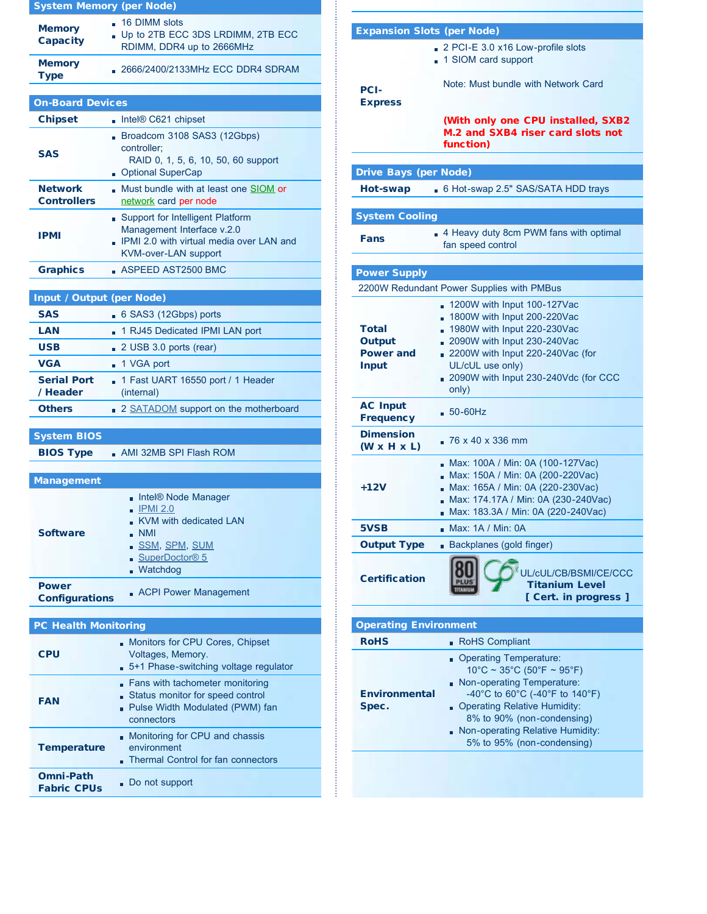|                                      | <b>System Memory (per Node)</b>                                                                        |  |  |  |
|--------------------------------------|--------------------------------------------------------------------------------------------------------|--|--|--|
| <b>Memory</b><br><b>Capacity</b>     | . 16 DIMM slots<br>Up to 2TB ECC 3DS LRDIMM, 2TB ECC<br>RDIMM, DDR4 up to 2666MHz                      |  |  |  |
| <b>Memory</b><br><b>Type</b>         | 2666/2400/2133MHz ECC DDR4 SDRAM                                                                       |  |  |  |
|                                      |                                                                                                        |  |  |  |
| <b>On-Board Devices</b>              |                                                                                                        |  |  |  |
| <b>Chipset</b>                       | $\blacksquare$ Intel® C621 chipset                                                                     |  |  |  |
| <b>SAS</b>                           | Broadcom 3108 SAS3 (12Gbps)<br>controller;<br>RAID 0, 1, 5, 6, 10, 50, 60 support<br>Optional SuperCap |  |  |  |
| <b>Network</b><br><b>Controllers</b> | Must bundle with at least one SIOM or<br>network card per node                                         |  |  |  |
| IPMI                                 | Support for Intelligent Platform<br>Management Interface v.2.0<br>IDMLQQ with with                     |  |  |  |

| <b>Input / Output (per Node)</b> |                                                                |  |  |
|----------------------------------|----------------------------------------------------------------|--|--|
| <b>SAS</b>                       | 6 SAS3 (12Gbps) ports                                          |  |  |
| LAN                              | 1 RJ45 Dedicated IPMI LAN port                                 |  |  |
| <b>USB</b>                       | 2 USB 3.0 ports (rear)                                         |  |  |
| <b>VGA</b>                       | ■ 1 VGA port                                                   |  |  |
| <b>Serial Port</b><br>/ Header   | $\blacksquare$ 1 Fast UART 16550 port / 1 Header<br>(internal) |  |  |
| <b>Others</b>                    | 2 SATADOM support on the motherboard                           |  |  |
|                                  |                                                                |  |  |

KVM-over-LAN support

Graphics **ASPEED AST2500 BMC** 

IPMI 2.0 with virtual media over LAN and

## System BIOS

BIOS Type AMI 32MB SPI Flash ROM

| <b>Management</b>                     |                                                                                                                                                                        |
|---------------------------------------|------------------------------------------------------------------------------------------------------------------------------------------------------------------------|
| <b>Software</b>                       | Intel® Node Manager<br>$\blacksquare$ IPMI 2.0<br>KVM with dedicated LAN<br>- NMI<br><u>. SSM, SPM, SUM</u><br>$\blacksquare$ SuperDoctor <sup>®</sup> 5<br>. Watchdog |
| <b>Power</b><br><b>Configurations</b> | <b>ACPI Power Management</b>                                                                                                                                           |

## PC Health Monitoring

| CPU                                    | Monitors for CPU Cores, Chipset<br>Voltages, Memory.<br>.5+1 Phase-switching voltage regulator                         |  |  |  |
|----------------------------------------|------------------------------------------------------------------------------------------------------------------------|--|--|--|
| <b>FAN</b>                             | Fans with tachometer monitoring<br>Status monitor for speed control<br>. Pulse Width Modulated (PWM) fan<br>connectors |  |  |  |
| <b>Temperature</b>                     | Monitoring for CPU and chassis<br>environment<br>Thermal Control for fan connectors                                    |  |  |  |
| <b>Omni-Path</b><br><b>Fabric CPUs</b> | Do not support                                                                                                         |  |  |  |

| <b>Expansion Slots (per Node)</b>                   |                                                                                                                                                                                                                                   |  |  |  |  |
|-----------------------------------------------------|-----------------------------------------------------------------------------------------------------------------------------------------------------------------------------------------------------------------------------------|--|--|--|--|
| <b>PCI-</b><br><b>Express</b>                       | 2 PCI-E 3.0 x16 Low-profile slots<br>1 SIOM card support<br>Note: Must bundle with Network Card<br>(With only one CPU installed, SXB2<br>M.2 and SXB4 riser card slots not<br>function)                                           |  |  |  |  |
|                                                     |                                                                                                                                                                                                                                   |  |  |  |  |
| <b>Drive Bays (per Node)</b>                        |                                                                                                                                                                                                                                   |  |  |  |  |
| Hot-swap                                            | 6 Hot-swap 2.5" SAS/SATA HDD trays                                                                                                                                                                                                |  |  |  |  |
|                                                     |                                                                                                                                                                                                                                   |  |  |  |  |
| <b>System Cooling</b>                               |                                                                                                                                                                                                                                   |  |  |  |  |
| Fans                                                | 4 Heavy duty 8cm PWM fans with optimal<br>fan speed control                                                                                                                                                                       |  |  |  |  |
|                                                     |                                                                                                                                                                                                                                   |  |  |  |  |
| <b>Power Supply</b>                                 |                                                                                                                                                                                                                                   |  |  |  |  |
|                                                     | 2200W Redundant Power Supplies with PMBus                                                                                                                                                                                         |  |  |  |  |
| Total<br>Output<br><b>Power and</b><br><b>Input</b> | 1200W with Input 100-127Vac<br>1800W with Input 200-220Vac<br>1980W with Input 220-230Vac<br>2090W with Input 230-240Vac<br>2200W with Input 220-240Vac (for<br>UL/cUL use only)<br>2090W with Input 230-240Vdc (for CCC<br>only) |  |  |  |  |
| <b>AC Input</b><br><b>Frequency</b>                 | $50 - 60$ Hz                                                                                                                                                                                                                      |  |  |  |  |
| <b>Dimension</b><br>$(W \times H \times L)$         | $26 \times 40 \times 336$ mm                                                                                                                                                                                                      |  |  |  |  |
| $+12V$                                              | Max: 100A / Min: 0A (100-127Vac)<br>Max: 150A / Min: 0A (200-220Vac)<br>Max: 165A / Min: 0A (220-230Vac)<br>å,<br>Max: 174.17A / Min: 0A (230-240Vac)<br>Max: 183.3A / Min: 0A (220-240Vac)                                       |  |  |  |  |
| 5VSB                                                | Max: 1A / Min: 0A                                                                                                                                                                                                                 |  |  |  |  |
| <b>Output Type</b>                                  | Backplanes (gold finger)                                                                                                                                                                                                          |  |  |  |  |
| <b>Certification</b>                                | UL/cUL/CB/BSMI/CE/CCC<br><b>Titanium Level</b><br>[ Cert. in progress ]                                                                                                                                                           |  |  |  |  |
|                                                     |                                                                                                                                                                                                                                   |  |  |  |  |
| <b>Operating Environment</b>                        |                                                                                                                                                                                                                                   |  |  |  |  |

| <b>RoHS</b>                   | • RoHS Compliant                                                                                                                                                                                                                                              |
|-------------------------------|---------------------------------------------------------------------------------------------------------------------------------------------------------------------------------------------------------------------------------------------------------------|
| <b>Environmental</b><br>Spec. | Operating Temperature:<br>$10^{\circ}$ C ~ 35°C (50°F ~ 95°F)<br>Non-operating Temperature:<br>-40°C to 60°C (-40°F to 140°F)<br>Operating Relative Humidity:<br>8% to 90% (non-condensing)<br>Non-operating Relative Humidity:<br>5% to 95% (non-condensing) |
|                               |                                                                                                                                                                                                                                                               |